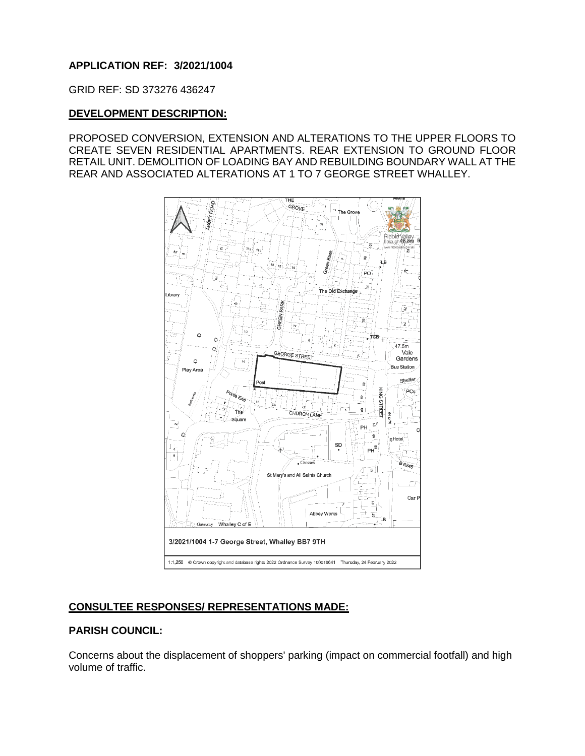# **APPLICATION REF: 3/2021/1004**

GRID REF: SD 373276 436247

## **DEVELOPMENT DESCRIPTION:**

PROPOSED CONVERSION, EXTENSION AND ALTERATIONS TO THE UPPER FLOORS TO CREATE SEVEN RESIDENTIAL APARTMENTS. REAR EXTENSION TO GROUND FLOOR RETAIL UNIT. DEMOLITION OF LOADING BAY AND REBUILDING BOUNDARY WALL AT THE REAR AND ASSOCIATED ALTERATIONS AT 1 TO 7 GEORGE STREET WHALLEY.



# **CONSULTEE RESPONSES/ REPRESENTATIONS MADE:**

# **PARISH COUNCIL:**

Concerns about the displacement of shoppers' parking (impact on commercial footfall) and high volume of traffic.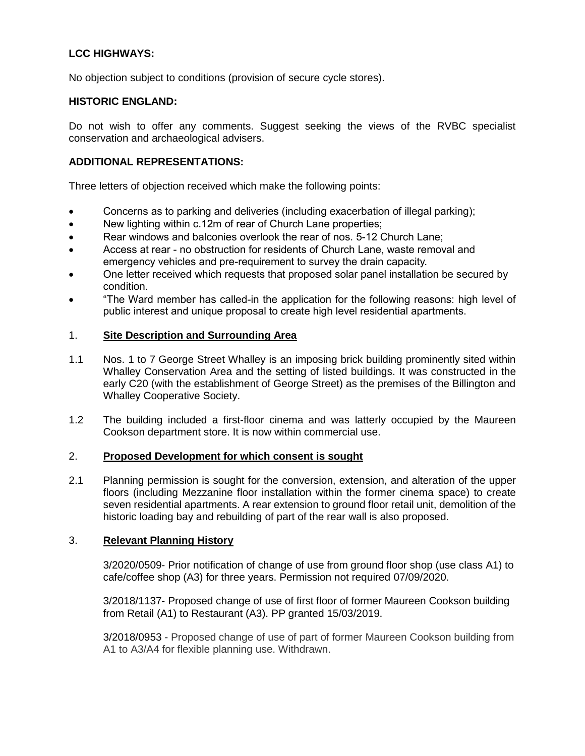# **LCC HIGHWAYS:**

No objection subject to conditions (provision of secure cycle stores).

### **HISTORIC ENGLAND:**

Do not wish to offer any comments. Suggest seeking the views of the RVBC specialist conservation and archaeological advisers.

## **ADDITIONAL REPRESENTATIONS:**

Three letters of objection received which make the following points:

- Concerns as to parking and deliveries (including exacerbation of illegal parking);
- New lighting within c.12m of rear of Church Lane properties;
- Rear windows and balconies overlook the rear of nos. 5-12 Church Lane:
- Access at rear no obstruction for residents of Church Lane, waste removal and emergency vehicles and pre-requirement to survey the drain capacity.
- One letter received which requests that proposed solar panel installation be secured by condition.
- "The Ward member has called-in the application for the following reasons: high level of public interest and unique proposal to create high level residential apartments.

## 1. **Site Description and Surrounding Area**

- 1.1 Nos. 1 to 7 George Street Whalley is an imposing brick building prominently sited within Whalley Conservation Area and the setting of listed buildings. It was constructed in the early C20 (with the establishment of George Street) as the premises of the Billington and Whalley Cooperative Society.
- 1.2 The building included a first-floor cinema and was latterly occupied by the Maureen Cookson department store. It is now within commercial use.

### 2. **Proposed Development for which consent is sought**

2.1 Planning permission is sought for the conversion, extension, and alteration of the upper floors (including Mezzanine floor installation within the former cinema space) to create seven residential apartments. A rear extension to ground floor retail unit, demolition of the historic loading bay and rebuilding of part of the rear wall is also proposed.

### 3. **Relevant Planning History**

3/2020/0509- Prior notification of change of use from ground floor shop (use class A1) to cafe/coffee shop (A3) for three years. Permission not required 07/09/2020.

3/2018/1137- Proposed change of use of first floor of former Maureen Cookson building from Retail (A1) to Restaurant (A3). PP granted 15/03/2019.

3/2018/0953 - Proposed change of use of part of former Maureen Cookson building from A1 to A3/A4 for flexible planning use. Withdrawn.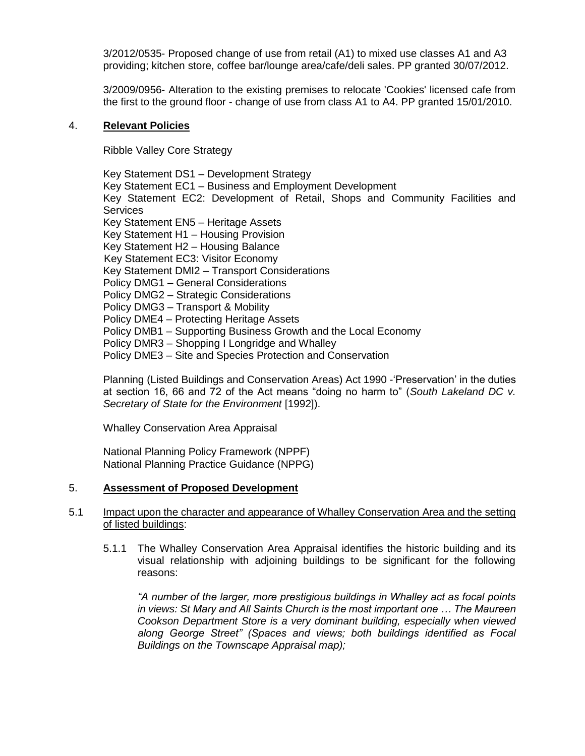3/2012/0535- Proposed change of use from retail (A1) to mixed use classes A1 and A3 providing; kitchen store, coffee bar/lounge area/cafe/deli sales. PP granted 30/07/2012.

3/2009/0956- Alteration to the existing premises to relocate 'Cookies' licensed cafe from the first to the ground floor - change of use from class A1 to A4. PP granted 15/01/2010.

### 4. **Relevant Policies**

Ribble Valley Core Strategy

Key Statement DS1 – Development Strategy Key Statement EC1 – Business and Employment Development Key Statement EC2: Development of Retail, Shops and Community Facilities and **Services** Key Statement EN5 – Heritage Assets Key Statement H1 – Housing Provision Key Statement H2 – Housing Balance Key Statement EC3: Visitor Economy Key Statement DMI2 – Transport Considerations Policy DMG1 – General Considerations Policy DMG2 – Strategic Considerations Policy DMG3 – Transport & Mobility Policy DME4 – Protecting Heritage Assets Policy DMB1 – Supporting Business Growth and the Local Economy Policy DMR3 – Shopping I Longridge and Whalley Policy DME3 – Site and Species Protection and Conservation

Planning (Listed Buildings and Conservation Areas) Act 1990 -'Preservation' in the duties at section 16, 66 and 72 of the Act means "doing no harm to" (*South Lakeland DC v. Secretary of State for the Environment* [1992]).

Whalley Conservation Area Appraisal

National Planning Policy Framework (NPPF) National Planning Practice Guidance (NPPG)

### 5. **Assessment of Proposed Development**

## 5.1 Impact upon the character and appearance of Whalley Conservation Area and the setting of listed buildings:

5.1.1 The Whalley Conservation Area Appraisal identifies the historic building and its visual relationship with adjoining buildings to be significant for the following reasons:

*"A number of the larger, more prestigious buildings in Whalley act as focal points in views: St Mary and All Saints Church is the most important one … The Maureen Cookson Department Store is a very dominant building, especially when viewed along George Street" (Spaces and views; both buildings identified as Focal Buildings on the Townscape Appraisal map);*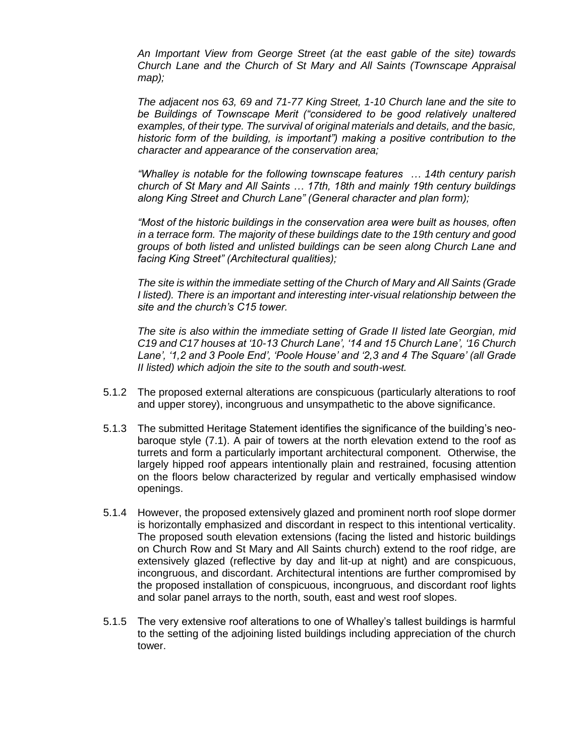*An Important View from George Street (at the east gable of the site) towards Church Lane and the Church of St Mary and All Saints (Townscape Appraisal map);*

*The adjacent nos 63, 69 and 71-77 King Street, 1-10 Church lane and the site to*  be Buildings of Townscape Merit ("considered to be good relatively unaltered *examples, of their type. The survival of original materials and details, and the basic, historic form of the building, is important") making a positive contribution to the character and appearance of the conservation area;*

*"Whalley is notable for the following townscape features … 14th century parish church of St Mary and All Saints … 17th, 18th and mainly 19th century buildings along King Street and Church Lane" (General character and plan form);*

*"Most of the historic buildings in the conservation area were built as houses, often in a terrace form. The majority of these buildings date to the 19th century and good groups of both listed and unlisted buildings can be seen along Church Lane and facing King Street" (Architectural qualities);*

*The site is within the immediate setting of the Church of Mary and All Saints (Grade I listed). There is an important and interesting inter-visual relationship between the site and the church's C15 tower.*

*The site is also within the immediate setting of Grade II listed late Georgian, mid C19 and C17 houses at '10-13 Church Lane', '14 and 15 Church Lane', '16 Church Lane', '1,2 and 3 Poole End', 'Poole House' and '2,3 and 4 The Square' (all Grade II listed) which adjoin the site to the south and south-west.*

- 5.1.2 The proposed external alterations are conspicuous (particularly alterations to roof and upper storey), incongruous and unsympathetic to the above significance.
- 5.1.3 The submitted Heritage Statement identifies the significance of the building's neobaroque style (7.1). A pair of towers at the north elevation extend to the roof as turrets and form a particularly important architectural component. Otherwise, the largely hipped roof appears intentionally plain and restrained, focusing attention on the floors below characterized by regular and vertically emphasised window openings.
- 5.1.4 However, the proposed extensively glazed and prominent north roof slope dormer is horizontally emphasized and discordant in respect to this intentional verticality. The proposed south elevation extensions (facing the listed and historic buildings on Church Row and St Mary and All Saints church) extend to the roof ridge, are extensively glazed (reflective by day and lit-up at night) and are conspicuous, incongruous, and discordant. Architectural intentions are further compromised by the proposed installation of conspicuous, incongruous, and discordant roof lights and solar panel arrays to the north, south, east and west roof slopes.
- 5.1.5 The very extensive roof alterations to one of Whalley's tallest buildings is harmful to the setting of the adjoining listed buildings including appreciation of the church tower.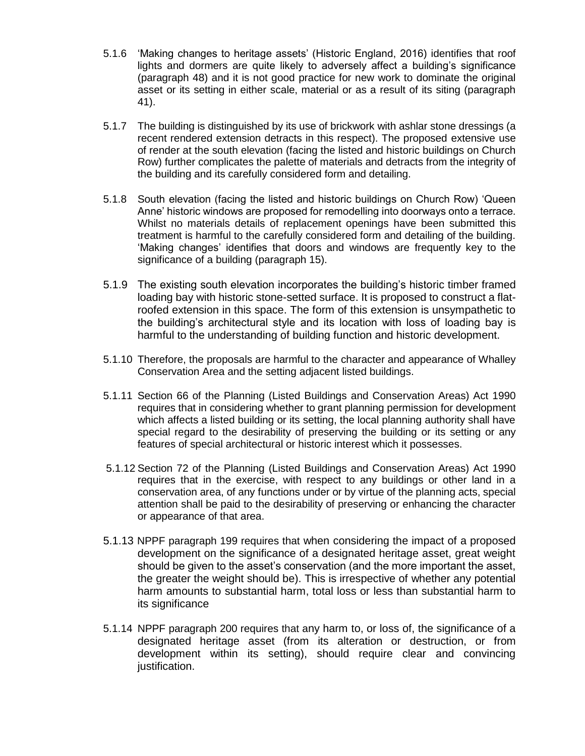- 5.1.6 'Making changes to heritage assets' (Historic England, 2016) identifies that roof lights and dormers are quite likely to adversely affect a building's significance (paragraph 48) and it is not good practice for new work to dominate the original asset or its setting in either scale, material or as a result of its siting (paragraph 41).
- 5.1.7 The building is distinguished by its use of brickwork with ashlar stone dressings (a recent rendered extension detracts in this respect). The proposed extensive use of render at the south elevation (facing the listed and historic buildings on Church Row) further complicates the palette of materials and detracts from the integrity of the building and its carefully considered form and detailing.
- 5.1.8 South elevation (facing the listed and historic buildings on Church Row) 'Queen Anne' historic windows are proposed for remodelling into doorways onto a terrace. Whilst no materials details of replacement openings have been submitted this treatment is harmful to the carefully considered form and detailing of the building. 'Making changes' identifies that doors and windows are frequently key to the significance of a building (paragraph 15).
- 5.1.9 The existing south elevation incorporates the building's historic timber framed loading bay with historic stone-setted surface. It is proposed to construct a flatroofed extension in this space. The form of this extension is unsympathetic to the building's architectural style and its location with loss of loading bay is harmful to the understanding of building function and historic development.
- 5.1.10 Therefore, the proposals are harmful to the character and appearance of Whalley Conservation Area and the setting adjacent listed buildings.
- 5.1.11 Section 66 of the Planning (Listed Buildings and Conservation Areas) Act 1990 requires that in considering whether to grant planning permission for development which affects a listed building or its setting, the local planning authority shall have special regard to the desirability of preserving the building or its setting or any features of special architectural or historic interest which it possesses.
- 5.1.12 Section 72 of the Planning (Listed Buildings and Conservation Areas) Act 1990 requires that in the exercise, with respect to any buildings or other land in a conservation area, of any functions under or by virtue of the planning acts, special attention shall be paid to the desirability of preserving or enhancing the character or appearance of that area.
- 5.1.13 NPPF paragraph 199 requires that when considering the impact of a proposed development on the significance of a designated heritage asset, great weight should be given to the asset's conservation (and the more important the asset, the greater the weight should be). This is irrespective of whether any potential harm amounts to substantial harm, total loss or less than substantial harm to its significance
- 5.1.14 NPPF paragraph 200 requires that any harm to, or loss of, the significance of a designated heritage asset (from its alteration or destruction, or from development within its setting), should require clear and convincing justification.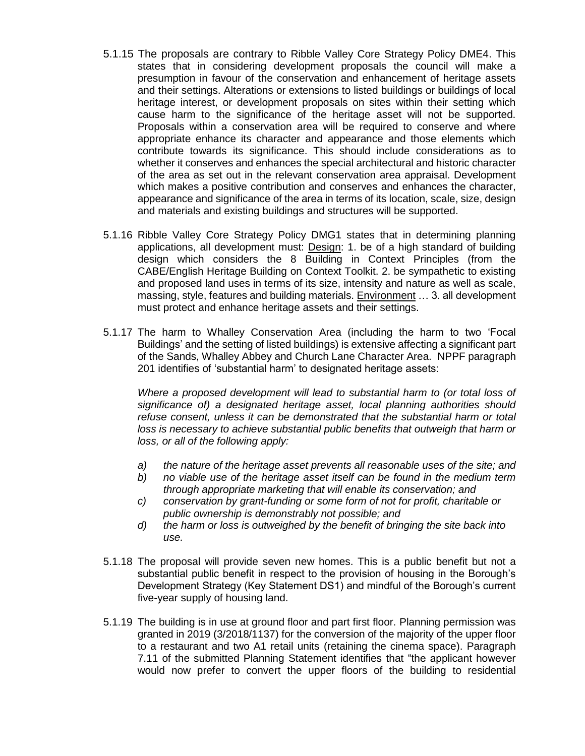- 5.1.15 The proposals are contrary to Ribble Valley Core Strategy Policy DME4. This states that in considering development proposals the council will make a presumption in favour of the conservation and enhancement of heritage assets and their settings. Alterations or extensions to listed buildings or buildings of local heritage interest, or development proposals on sites within their setting which cause harm to the significance of the heritage asset will not be supported. Proposals within a conservation area will be required to conserve and where appropriate enhance its character and appearance and those elements which contribute towards its significance. This should include considerations as to whether it conserves and enhances the special architectural and historic character of the area as set out in the relevant conservation area appraisal. Development which makes a positive contribution and conserves and enhances the character, appearance and significance of the area in terms of its location, scale, size, design and materials and existing buildings and structures will be supported.
- 5.1.16 Ribble Valley Core Strategy Policy DMG1 states that in determining planning applications, all development must: Design: 1. be of a high standard of building design which considers the 8 Building in Context Principles (from the CABE/English Heritage Building on Context Toolkit. 2. be sympathetic to existing and proposed land uses in terms of its size, intensity and nature as well as scale, massing, style, features and building materials. Environment … 3. all development must protect and enhance heritage assets and their settings.
- 5.1.17 The harm to Whalley Conservation Area (including the harm to two 'Focal Buildings' and the setting of listed buildings) is extensive affecting a significant part of the Sands, Whalley Abbey and Church Lane Character Area. NPPF paragraph 201 identifies of 'substantial harm' to designated heritage assets:

*Where a proposed development will lead to substantial harm to (or total loss of significance of) a designated heritage asset, local planning authorities should refuse consent, unless it can be demonstrated that the substantial harm or total loss is necessary to achieve substantial public benefits that outweigh that harm or loss, or all of the following apply:* 

- *a) the nature of the heritage asset prevents all reasonable uses of the site; and*
- *b) no viable use of the heritage asset itself can be found in the medium term through appropriate marketing that will enable its conservation; and*
- *c) conservation by grant-funding or some form of not for profit, charitable or public ownership is demonstrably not possible; and*
- *d) the harm or loss is outweighed by the benefit of bringing the site back into use.*
- 5.1.18 The proposal will provide seven new homes. This is a public benefit but not a substantial public benefit in respect to the provision of housing in the Borough's Development Strategy (Key Statement DS1) and mindful of the Borough's current five-year supply of housing land.
- 5.1.19 The building is in use at ground floor and part first floor. Planning permission was granted in 2019 (3/2018/1137) for the conversion of the majority of the upper floor to a restaurant and two A1 retail units (retaining the cinema space). Paragraph 7.11 of the submitted Planning Statement identifies that "the applicant however would now prefer to convert the upper floors of the building to residential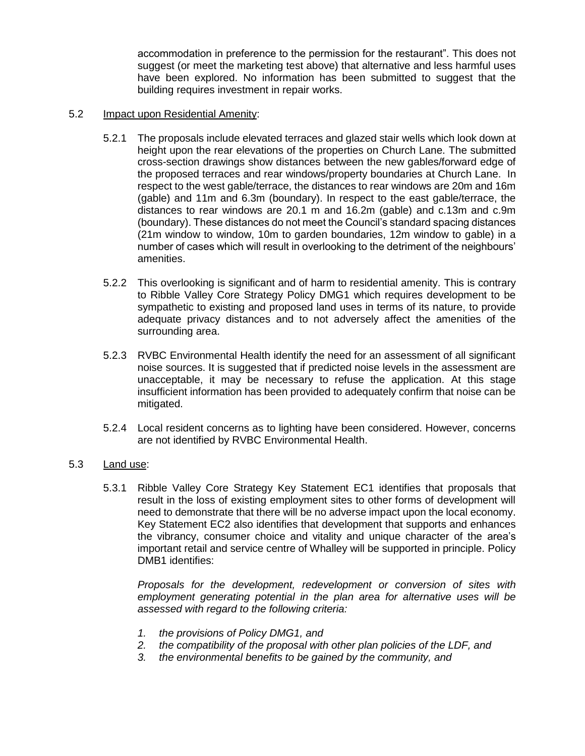accommodation in preference to the permission for the restaurant". This does not suggest (or meet the marketing test above) that alternative and less harmful uses have been explored. No information has been submitted to suggest that the building requires investment in repair works.

## 5.2 Impact upon Residential Amenity:

- 5.2.1 The proposals include elevated terraces and glazed stair wells which look down at height upon the rear elevations of the properties on Church Lane. The submitted cross-section drawings show distances between the new gables/forward edge of the proposed terraces and rear windows/property boundaries at Church Lane. In respect to the west gable/terrace, the distances to rear windows are 20m and 16m (gable) and 11m and 6.3m (boundary). In respect to the east gable/terrace, the distances to rear windows are 20.1 m and 16.2m (gable) and c.13m and c.9m (boundary). These distances do not meet the Council's standard spacing distances (21m window to window, 10m to garden boundaries, 12m window to gable) in a number of cases which will result in overlooking to the detriment of the neighbours' amenities.
- 5.2.2 This overlooking is significant and of harm to residential amenity. This is contrary to Ribble Valley Core Strategy Policy DMG1 which requires development to be sympathetic to existing and proposed land uses in terms of its nature, to provide adequate privacy distances and to not adversely affect the amenities of the surrounding area.
- 5.2.3 RVBC Environmental Health identify the need for an assessment of all significant noise sources. It is suggested that if predicted noise levels in the assessment are unacceptable, it may be necessary to refuse the application. At this stage insufficient information has been provided to adequately confirm that noise can be mitigated.
- 5.2.4 Local resident concerns as to lighting have been considered. However, concerns are not identified by RVBC Environmental Health.

# 5.3 Land use:

5.3.1 Ribble Valley Core Strategy Key Statement EC1 identifies that proposals that result in the loss of existing employment sites to other forms of development will need to demonstrate that there will be no adverse impact upon the local economy. Key Statement EC2 also identifies that development that supports and enhances the vibrancy, consumer choice and vitality and unique character of the area's important retail and service centre of Whalley will be supported in principle. Policy DMB1 identifies:

*Proposals for the development, redevelopment or conversion of sites with employment generating potential in the plan area for alternative uses will be assessed with regard to the following criteria:*

- *1. the provisions of Policy DMG1, and*
- *2. the compatibility of the proposal with other plan policies of the LDF, and*
- *3. the environmental benefits to be gained by the community, and*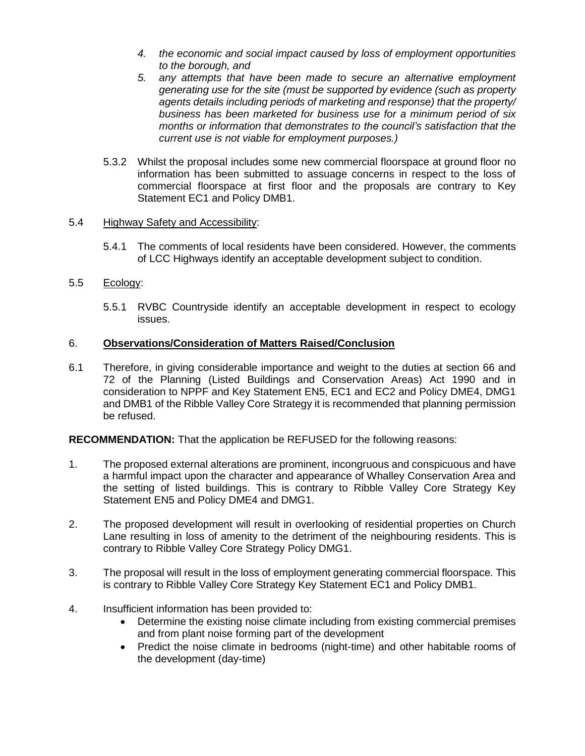- *4. the economic and social impact caused by loss of employment opportunities to the borough, and*
- *5. any attempts that have been made to secure an alternative employment generating use for the site (must be supported by evidence (such as property agents details including periods of marketing and response) that the property/ business has been marketed for business use for a minimum period of six months or information that demonstrates to the council's satisfaction that the current use is not viable for employment purposes.)*
- 5.3.2 Whilst the proposal includes some new commercial floorspace at ground floor no information has been submitted to assuage concerns in respect to the loss of commercial floorspace at first floor and the proposals are contrary to Key Statement EC1 and Policy DMB1.

### 5.4 Highway Safety and Accessibility:

5.4.1 The comments of local residents have been considered. However, the comments of LCC Highways identify an acceptable development subject to condition.

## 5.5 Ecology:

5.5.1 RVBC Countryside identify an acceptable development in respect to ecology issues.

## 6. **Observations/Consideration of Matters Raised/Conclusion**

6.1 Therefore, in giving considerable importance and weight to the duties at section 66 and 72 of the Planning (Listed Buildings and Conservation Areas) Act 1990 and in consideration to NPPF and Key Statement EN5, EC1 and EC2 and Policy DME4, DMG1 and DMB1 of the Ribble Valley Core Strategy it is recommended that planning permission be refused.

**RECOMMENDATION:** That the application be REFUSED for the following reasons:

- 1. The proposed external alterations are prominent, incongruous and conspicuous and have a harmful impact upon the character and appearance of Whalley Conservation Area and the setting of listed buildings. This is contrary to Ribble Valley Core Strategy Key Statement EN5 and Policy DME4 and DMG1.
- 2. The proposed development will result in overlooking of residential properties on Church Lane resulting in loss of amenity to the detriment of the neighbouring residents. This is contrary to Ribble Valley Core Strategy Policy DMG1.
- 3. The proposal will result in the loss of employment generating commercial floorspace. This is contrary to Ribble Valley Core Strategy Key Statement EC1 and Policy DMB1.
- 4. Insufficient information has been provided to:
	- Determine the existing noise climate including from existing commercial premises and from plant noise forming part of the development
	- Predict the noise climate in bedrooms (night-time) and other habitable rooms of the development (day-time)